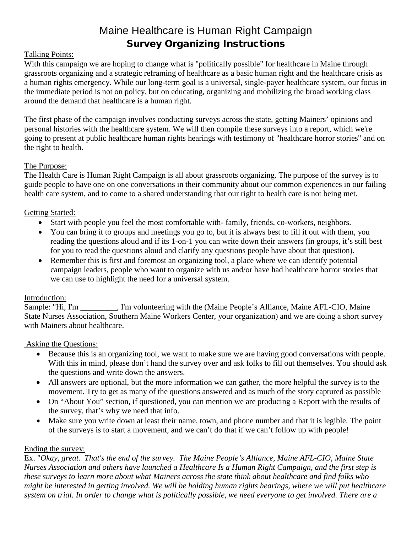# Maine Healthcare is Human Right Campaign Survey Organizing Instructions

## Talking Points:

With this campaign we are hoping to change what is "politically possible" for healthcare in Maine through grassroots organizing and a strategic reframing of healthcare as a basic human right and the healthcare crisis as a human rights emergency. While our long-term goal is a universal, single-payer healthcare system, our focus in the immediate period is not on policy, but on educating, organizing and mobilizing the broad working class around the demand that healthcare is a human right.

The first phase of the campaign involves conducting surveys across the state, getting Mainers' opinions and personal histories with the healthcare system. We will then compile these surveys into a report, which we're going to present at public healthcare human rights hearings with testimony of "healthcare horror stories" and on the right to health.

### The Purpose:

The Health Care is Human Right Campaign is all about grassroots organizing. The purpose of the survey is to guide people to have one on one conversations in their community about our common experiences in our failing health care system, and to come to a shared understanding that our right to health care is not being met.

### Getting Started:

- Start with people you feel the most comfortable with-family, friends, co-workers, neighbors.
- You can bring it to groups and meetings you go to, but it is always best to fill it out with them, you reading the questions aloud and if its 1-on-1 you can write down their answers (in groups, it's still best for you to read the questions aloud and clarify any questions people have about that question).
- Remember this is first and foremost an organizing tool, a place where we can identify potential campaign leaders, people who want to organize with us and/or have had healthcare horror stories that we can use to highlight the need for a universal system.

### Introduction:

Sample: "Hi, I'm \_\_\_\_\_\_\_\_, I'm volunteering with the (Maine People's Alliance, Maine AFL-CIO, Maine State Nurses Association, Southern Maine Workers Center, your organization) and we are doing a short survey with Mainers about healthcare.

### Asking the Questions:

- Because this is an organizing tool, we want to make sure we are having good conversations with people. With this in mind, please don't hand the survey over and ask folks to fill out themselves. You should ask the questions and write down the answers.
- All answers are optional, but the more information we can gather, the more helpful the survey is to the movement. Try to get as many of the questions answered and as much of the story captured as possible
- On "About You" section, if questioned, you can mention we are producing a Report with the results of the survey, that's why we need that info.
- Make sure you write down at least their name, town, and phone number and that it is legible. The point of the surveys is to start a movement, and we can't do that if we can't follow up with people!

### Ending the survey:

Ex. "*Okay, great. That's the end of the survey. The Maine People's Alliance, Maine AFL-CIO, Maine State Nurses Association and others have launched a Healthcare Is a Human Right Campaign, and the first step is these surveys to learn more about what Mainers across the state think about healthcare and find folks who might be interested in getting involved. We will be holding human rights hearings, where we will put healthcare system on trial. In order to change what is politically possible, we need everyone to get involved. There are a*